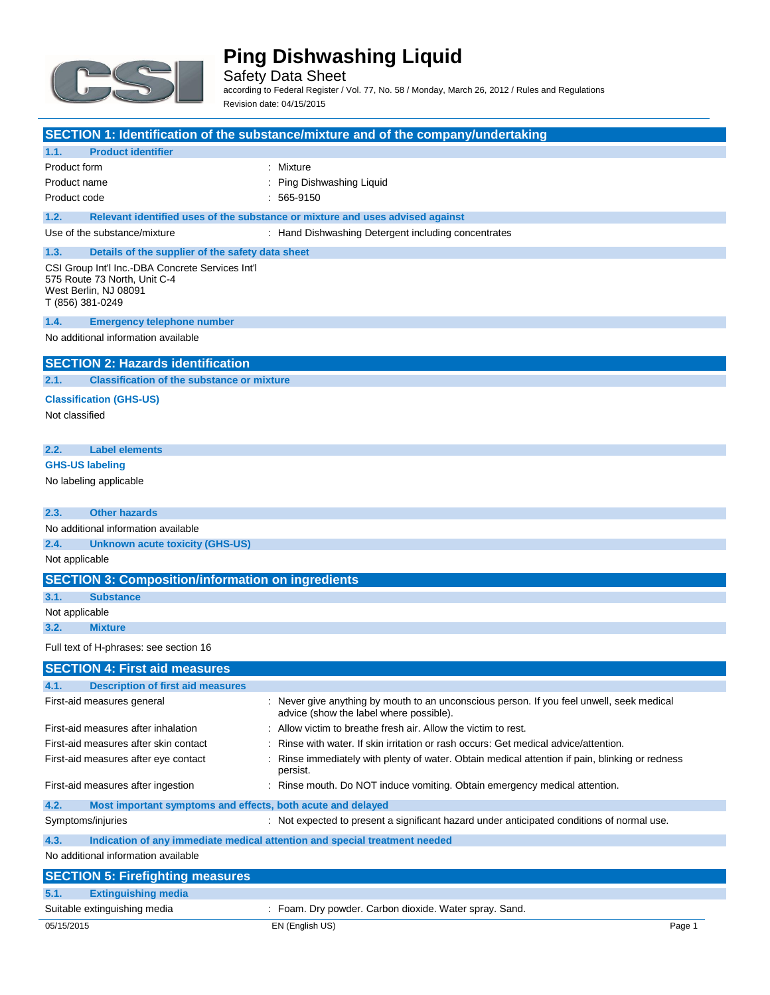

Safety Data Sheet according to Federal Register / Vol. 77, No. 58 / Monday, March 26, 2012 / Rules and Regulations Revision date: 04/15/2015

### **SECTION 1: Identification of the substance/mixture and of the company/undertaking 1.1. Product identifier** Product form : Nixture : Mixture Product name : Ping Dishwashing Liquid Product code : 565-9150 **1.2. Relevant identified uses of the substance or mixture and uses advised against** Use of the substance/mixture : Hand Dishwashing Detergent including concentrates **1.3. Details of the supplier of the safety data sheet** CSI Group Int'l Inc.-DBA Concrete Services Int'l 575 Route 73 North, Unit C-4 West Berlin, NJ 08091 T (856) 381-0249 **1.4. Emergency telephone number** No additional information available **SECTION 2: Hazards identification 2.1. Classification of the substance or mixture Classification (GHS-US)** Not classified

**2.2. Label elements**

#### **GHS-US labeling**

No labeling applicable

| 2.3.           | <b>Other hazards</b>                                        |                                                                                                                                      |  |
|----------------|-------------------------------------------------------------|--------------------------------------------------------------------------------------------------------------------------------------|--|
|                | No additional information available                         |                                                                                                                                      |  |
| 2.4.           | <b>Unknown acute toxicity (GHS-US)</b>                      |                                                                                                                                      |  |
| Not applicable |                                                             |                                                                                                                                      |  |
|                | <b>SECTION 3: Composition/information on ingredients</b>    |                                                                                                                                      |  |
| 3.1.           | <b>Substance</b>                                            |                                                                                                                                      |  |
| Not applicable |                                                             |                                                                                                                                      |  |
| 3.2.           | <b>Mixture</b>                                              |                                                                                                                                      |  |
|                | Full text of H-phrases: see section 16                      |                                                                                                                                      |  |
|                | <b>SECTION 4: First aid measures</b>                        |                                                                                                                                      |  |
| 4.1.           | <b>Description of first aid measures</b>                    |                                                                                                                                      |  |
|                | First-aid measures general                                  | : Never give anything by mouth to an unconscious person. If you feel unwell, seek medical<br>advice (show the label where possible). |  |
|                | First-aid measures after inhalation                         | Allow victim to breathe fresh air. Allow the victim to rest.                                                                         |  |
|                | First-aid measures after skin contact                       | Rinse with water. If skin irritation or rash occurs: Get medical advice/attention.                                                   |  |
|                | First-aid measures after eye contact                        | Rinse immediately with plenty of water. Obtain medical attention if pain, blinking or redness<br>persist.                            |  |
|                | First-aid measures after ingestion                          | : Rinse mouth. Do NOT induce vomiting. Obtain emergency medical attention.                                                           |  |
| 4.2.           | Most important symptoms and effects, both acute and delayed |                                                                                                                                      |  |
|                | Symptoms/injuries                                           | : Not expected to present a significant hazard under anticipated conditions of normal use.                                           |  |
| 4.3.           |                                                             | Indication of any immediate medical attention and special treatment needed                                                           |  |
|                | No additional information available                         |                                                                                                                                      |  |
|                | <b>SECTION 5: Firefighting measures</b>                     |                                                                                                                                      |  |
| 5.1.           | <b>Extinguishing media</b>                                  |                                                                                                                                      |  |
|                |                                                             |                                                                                                                                      |  |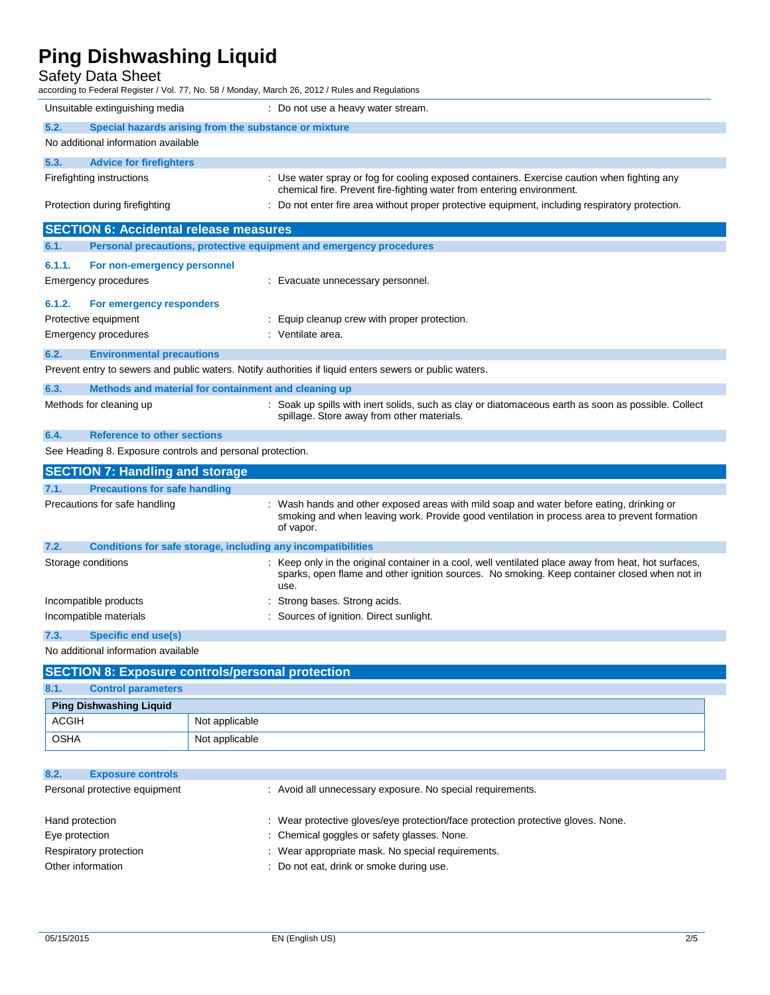### Safety Data Sheet

| Unsuitable extinguishing media<br>: Do not use a heavy water stream.<br>5.2.<br>Special hazards arising from the substance or mixture<br>No additional information available<br>5.3.<br><b>Advice for firefighters</b>                 |  |  |
|----------------------------------------------------------------------------------------------------------------------------------------------------------------------------------------------------------------------------------------|--|--|
|                                                                                                                                                                                                                                        |  |  |
|                                                                                                                                                                                                                                        |  |  |
|                                                                                                                                                                                                                                        |  |  |
|                                                                                                                                                                                                                                        |  |  |
| : Use water spray or fog for cooling exposed containers. Exercise caution when fighting any<br>Firefighting instructions<br>chemical fire. Prevent fire-fighting water from entering environment.                                      |  |  |
| : Do not enter fire area without proper protective equipment, including respiratory protection.<br>Protection during firefighting                                                                                                      |  |  |
| <b>SECTION 6: Accidental release measures</b>                                                                                                                                                                                          |  |  |
| 6.1.<br>Personal precautions, protective equipment and emergency procedures                                                                                                                                                            |  |  |
| 6.1.1.<br>For non-emergency personnel                                                                                                                                                                                                  |  |  |
| Emergency procedures<br>: Evacuate unnecessary personnel.                                                                                                                                                                              |  |  |
| 6.1.2.<br>For emergency responders                                                                                                                                                                                                     |  |  |
| Protective equipment<br>: Equip cleanup crew with proper protection.                                                                                                                                                                   |  |  |
| <b>Emergency procedures</b><br>: Ventilate area.                                                                                                                                                                                       |  |  |
| 6.2.<br><b>Environmental precautions</b>                                                                                                                                                                                               |  |  |
| Prevent entry to sewers and public waters. Notify authorities if liquid enters sewers or public waters.                                                                                                                                |  |  |
| 6.3.<br>Methods and material for containment and cleaning up                                                                                                                                                                           |  |  |
| : Soak up spills with inert solids, such as clay or diatomaceous earth as soon as possible. Collect<br>Methods for cleaning up<br>spillage. Store away from other materials.                                                           |  |  |
| 6.4.<br><b>Reference to other sections</b>                                                                                                                                                                                             |  |  |
| See Heading 8. Exposure controls and personal protection.                                                                                                                                                                              |  |  |
| <b>SECTION 7: Handling and storage</b>                                                                                                                                                                                                 |  |  |
| 7.1.<br><b>Precautions for safe handling</b>                                                                                                                                                                                           |  |  |
| Precautions for safe handling<br>: Wash hands and other exposed areas with mild soap and water before eating, drinking or<br>smoking and when leaving work. Provide good ventilation in process area to prevent formation<br>of vapor. |  |  |
| 7.2.<br>Conditions for safe storage, including any incompatibilities                                                                                                                                                                   |  |  |
| Storage conditions<br>: Keep only in the original container in a cool, well ventilated place away from heat, hot surfaces,<br>sparks, open flame and other ignition sources. No smoking. Keep container closed when not in<br>use.     |  |  |
| Strong bases. Strong acids.<br>Incompatible products                                                                                                                                                                                   |  |  |
| Sources of ignition. Direct sunlight.<br>Incompatible materials                                                                                                                                                                        |  |  |
| 7.3.<br><b>Specific end use(s)</b>                                                                                                                                                                                                     |  |  |
| No additional information available                                                                                                                                                                                                    |  |  |

| SECTION 8: Exposure controls/personal protection |                           |                |  |
|--------------------------------------------------|---------------------------|----------------|--|
| 8.1.                                             | <b>Control parameters</b> |                |  |
| <b>Ping Dishwashing Liquid</b>                   |                           |                |  |
|                                                  | <b>ACGIH</b>              | Not applicable |  |
|                                                  | <b>OSHA</b>               | Not applicable |  |

| 8.2.                          | <b>Exposure controls</b> |                                                                                  |
|-------------------------------|--------------------------|----------------------------------------------------------------------------------|
| Personal protective equipment |                          | : Avoid all unnecessary exposure. No special requirements.                       |
| Hand protection               |                          | : Wear protective gloves/eye protection/face protection protective gloves. None. |
| Eye protection                |                          | : Chemical goggles or safety glasses. None.                                      |
| Respiratory protection        |                          | : Wear appropriate mask. No special requirements.                                |
| Other information             |                          | : Do not eat, drink or smoke during use.                                         |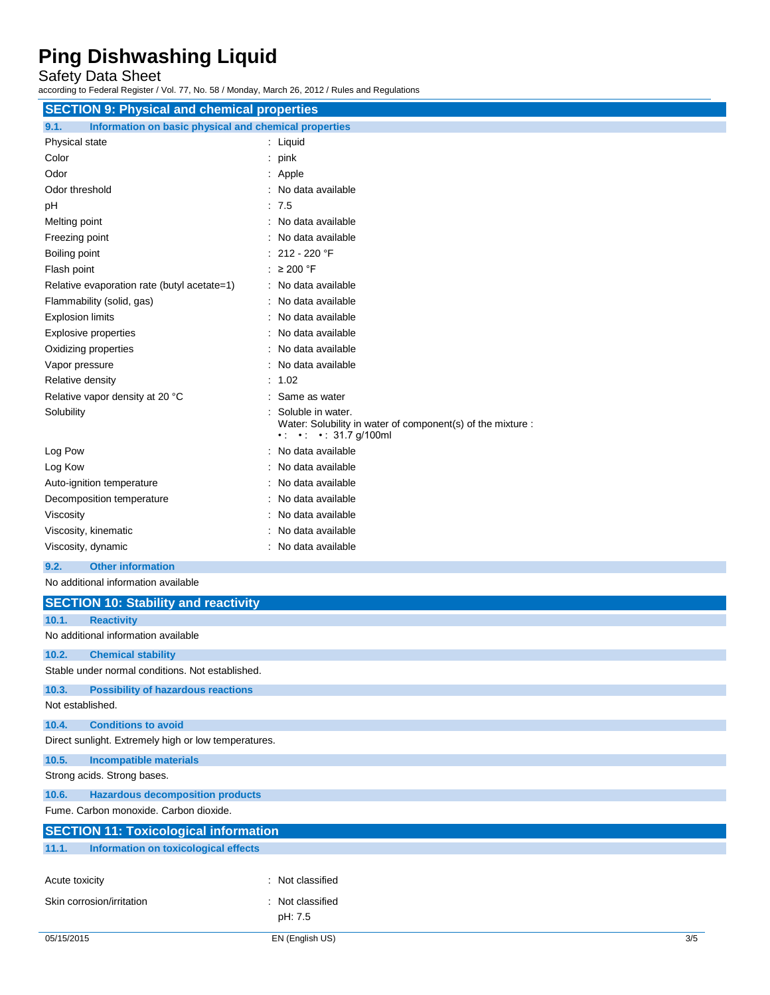Safety Data Sheet

according to Federal Register / Vol. 77, No. 58 / Monday, March 26, 2012 / Rules and Regulations

| <b>SECTION 9: Physical and chemical properties</b>            |                                                                                                                                  |  |
|---------------------------------------------------------------|----------------------------------------------------------------------------------------------------------------------------------|--|
| Information on basic physical and chemical properties<br>9.1. |                                                                                                                                  |  |
| Physical state                                                | : Liquid                                                                                                                         |  |
| Color                                                         | $:$ pink                                                                                                                         |  |
| Odor                                                          | $:$ Apple                                                                                                                        |  |
| Odor threshold                                                | : No data available                                                                                                              |  |
| pH                                                            | : 7.5                                                                                                                            |  |
| Melting point                                                 | : No data available                                                                                                              |  |
| Freezing point                                                | : No data available                                                                                                              |  |
| Boiling point                                                 | : 212 - 220 °F                                                                                                                   |  |
| Flash point                                                   | : $\geq 200$ °F                                                                                                                  |  |
| Relative evaporation rate (butyl acetate=1)                   | : No data available                                                                                                              |  |
| Flammability (solid, gas)                                     | No data available                                                                                                                |  |
| <b>Explosion limits</b>                                       | No data available                                                                                                                |  |
| <b>Explosive properties</b>                                   | No data available                                                                                                                |  |
| Oxidizing properties                                          | No data available                                                                                                                |  |
| Vapor pressure                                                | No data available                                                                                                                |  |
| Relative density                                              | : 1.02                                                                                                                           |  |
| Relative vapor density at 20 °C                               | Same as water                                                                                                                    |  |
| Solubility                                                    | Soluble in water.<br>Water: Solubility in water of component(s) of the mixture :<br>$\cdot$ $\cdot$ $\cdot$ $\cdot$ 31.7 g/100ml |  |
| Log Pow                                                       | : No data available                                                                                                              |  |
| Log Kow                                                       | No data available                                                                                                                |  |
| Auto-ignition temperature                                     | No data available                                                                                                                |  |
| Decomposition temperature                                     | : No data available                                                                                                              |  |
| Viscosity                                                     | No data available                                                                                                                |  |
| Viscosity, kinematic                                          | No data available                                                                                                                |  |
| Viscosity, dynamic                                            | : No data available                                                                                                              |  |
| <b>Other information</b><br>9.2.                              |                                                                                                                                  |  |
| No additional information available                           |                                                                                                                                  |  |
| <b>SECTION 10: Stability and reactivity</b>                   |                                                                                                                                  |  |
| 10.1.<br><b>Reactivity</b>                                    |                                                                                                                                  |  |
| No additional information available                           |                                                                                                                                  |  |
| 10.2.<br><b>Chemical stability</b>                            |                                                                                                                                  |  |
| Stable under normal conditions. Not established.              |                                                                                                                                  |  |
| 10.3.<br><b>Possibility of hazardous reactions</b>            |                                                                                                                                  |  |
| Not established.                                              |                                                                                                                                  |  |
| 10.4.<br><b>Conditions to avoid</b>                           |                                                                                                                                  |  |
| Direct sunlight. Extremely high or low temperatures.          |                                                                                                                                  |  |
| 10.5.<br><b>Incompatible materials</b>                        |                                                                                                                                  |  |
| Strong acids. Strong bases.                                   |                                                                                                                                  |  |
| 10.6.<br><b>Hazardous decomposition products</b>              |                                                                                                                                  |  |
| Fume. Carbon monoxide. Carbon dioxide.                        |                                                                                                                                  |  |
| <b>SECTION 11: Toxicological information</b>                  |                                                                                                                                  |  |
| 11.1.<br><b>Information on toxicological effects</b>          |                                                                                                                                  |  |
|                                                               |                                                                                                                                  |  |
| Acute toxicity                                                | : Not classified                                                                                                                 |  |

pH: 7.5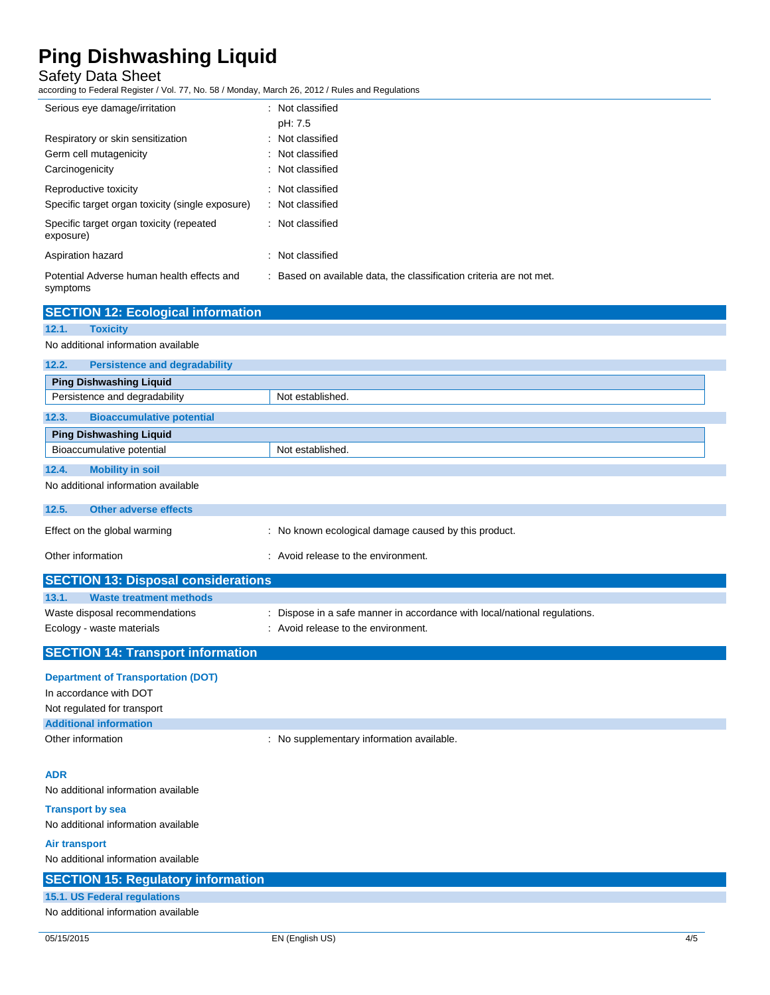### Safety Data Sheet

according to Federal Register / Vol. 77, No. 58 / Monday, March 26, 2012 / Rules and Regulations

| Serious eye damage/irritation                                                  | : Not classified<br>pH: 7.5                                         |
|--------------------------------------------------------------------------------|---------------------------------------------------------------------|
| Respiratory or skin sensitization<br>Germ cell mutagenicity<br>Carcinogenicity | : Not classified<br>: Not classified<br>: Not classified            |
| Reproductive toxicity<br>Specific target organ toxicity (single exposure)      | : Not classified<br>: Not classified                                |
| Specific target organ toxicity (repeated<br>exposure)                          | : Not classified                                                    |
| Aspiration hazard                                                              | : Not classified                                                    |
| Potential Adverse human health effects and<br>symptoms                         | : Based on available data, the classification criteria are not met. |

| <b>SECTION 12: Ecological information</b>     |                                                      |  |  |
|-----------------------------------------------|------------------------------------------------------|--|--|
| 12.1.<br><b>Toxicity</b>                      |                                                      |  |  |
| No additional information available           |                                                      |  |  |
| <b>Persistence and degradability</b><br>12.2. |                                                      |  |  |
| <b>Ping Dishwashing Liquid</b>                |                                                      |  |  |
| Persistence and degradability                 | Not established.                                     |  |  |
| <b>Bioaccumulative potential</b><br>12.3.     |                                                      |  |  |
| <b>Ping Dishwashing Liquid</b>                |                                                      |  |  |
| Bioaccumulative potential                     | Not established.                                     |  |  |
| 12.4.<br><b>Mobility in soil</b>              |                                                      |  |  |
| No additional information available           |                                                      |  |  |
| <b>Other adverse effects</b><br>12.5.         |                                                      |  |  |
| Effect on the global warming                  | : No known ecological damage caused by this product. |  |  |
| Other information                             | : Avoid release to the environment.                  |  |  |
| <b>SECTION 13: Disposal considerations</b>    |                                                      |  |  |
| 13.1.<br><b>Waste treatment methods</b>       |                                                      |  |  |

| <b>SECTION 14: Transport information</b> |
|------------------------------------------|

Ecology - waste materials **Example 20** in Avoid release to the environment.

| <b>Department of Transportation (DOT)</b> |                                           |
|-------------------------------------------|-------------------------------------------|
| In accordance with DOT                    |                                           |
| Not regulated for transport               |                                           |
| <b>Additional information</b>             |                                           |
| Other information                         | : No supplementary information available. |

Waste disposal recommendations : Dispose in a safe manner in accordance with local/national regulations.

#### **ADR**

No additional information available

**Transport by sea**

| No additional information available       |  |
|-------------------------------------------|--|
| Air transport                             |  |
| No additional information available       |  |
| <b>SECTION 15: Regulatory information</b> |  |
| 15.1. US Federal regulations              |  |
| No additional information available       |  |